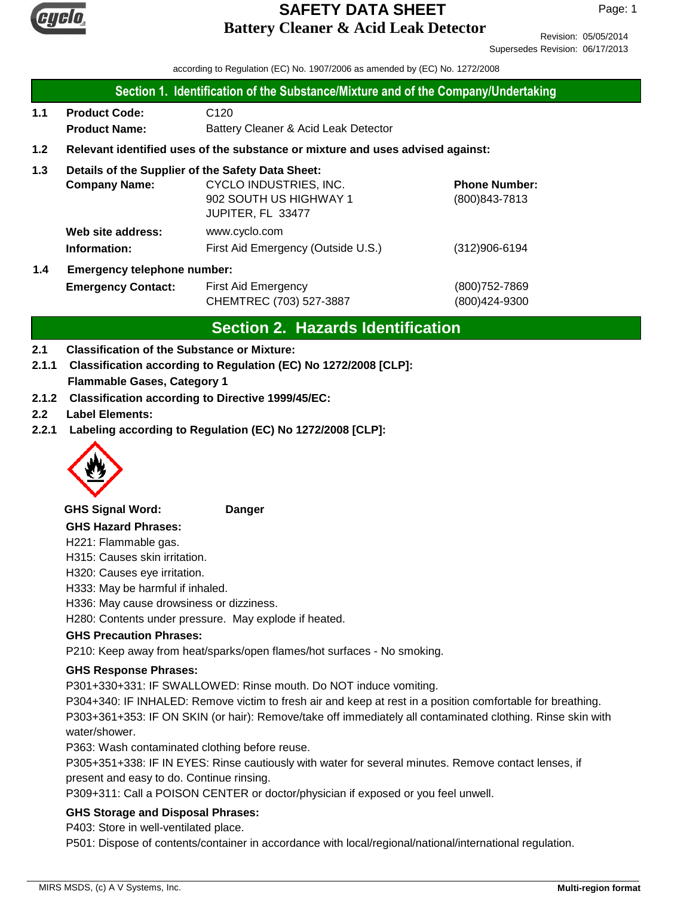

Revision: 05/05/2014 Supersedes Revision: 06/17/2013

according to Regulation (EC) No. 1907/2006 as amended by (EC) No. 1272/2008

### **Section 1. Identification of the Substance/Mixture and of the Company/Undertaking**

**1.1 Product Code:** C120 **Product Name:** Battery Cleaner & Acid Leak Detector

### **1.2 Relevant identified uses of the substance or mixture and uses advised against:**

### **1.3 Details of the Supplier of the Safety Data Sheet:**

|     | <b>Company Name:</b>               | CYCLO INDUSTRIES, INC.             | <b>Phone Number:</b> |  |  |
|-----|------------------------------------|------------------------------------|----------------------|--|--|
|     |                                    | 902 SOUTH US HIGHWAY 1             | (800) 843-7813       |  |  |
|     |                                    | JUPITER, FL 33477                  |                      |  |  |
|     | Web site address:                  | www.cyclo.com                      |                      |  |  |
|     | Information:                       | First Aid Emergency (Outside U.S.) | $(312)906 - 6194$    |  |  |
| 1.4 | <b>Emergency telephone number:</b> |                                    |                      |  |  |

| <b>Emergency Contact:</b> | First Aid Emergency     | (800) 752-7869 |
|---------------------------|-------------------------|----------------|
|                           | CHEMTREC (703) 527-3887 | (800)424-9300  |

### **Section 2. Hazards Identification**

### **2.1 Classification of the Substance or Mixture:**

**2.1.1 Classification according to Regulation (EC) No 1272/2008 [CLP]:**

### **Flammable Gases, Category 1**

- **2.1.2 Classification according to Directive 1999/45/EC:**
- **2.2 Label Elements:**
- **2.2.1 Labeling according to Regulation (EC) No 1272/2008 [CLP]:**



**GHS Signal Word: Danger**

#### **GHS Hazard Phrases:**

H221: Flammable gas.

H315: Causes skin irritation.

- H320: Causes eye irritation.
- H333: May be harmful if inhaled.
- H336: May cause drowsiness or dizziness.

H280: Contents under pressure. May explode if heated.

### **GHS Precaution Phrases:**

P210: Keep away from heat/sparks/open flames/hot surfaces - No smoking.

### **GHS Response Phrases:**

P301+330+331: IF SWALLOWED: Rinse mouth. Do NOT induce vomiting.

P304+340: IF INHALED: Remove victim to fresh air and keep at rest in a position comfortable for breathing. P303+361+353: IF ON SKIN (or hair): Remove/take off immediately all contaminated clothing. Rinse skin with water/shower.

P363: Wash contaminated clothing before reuse.

P305+351+338: IF IN EYES: Rinse cautiously with water for several minutes. Remove contact lenses, if present and easy to do. Continue rinsing.

P309+311: Call a POISON CENTER or doctor/physician if exposed or you feel unwell.

### **GHS Storage and Disposal Phrases:**

P403: Store in well-ventilated place.

P501: Dispose of contents/container in accordance with local/regional/national/international regulation.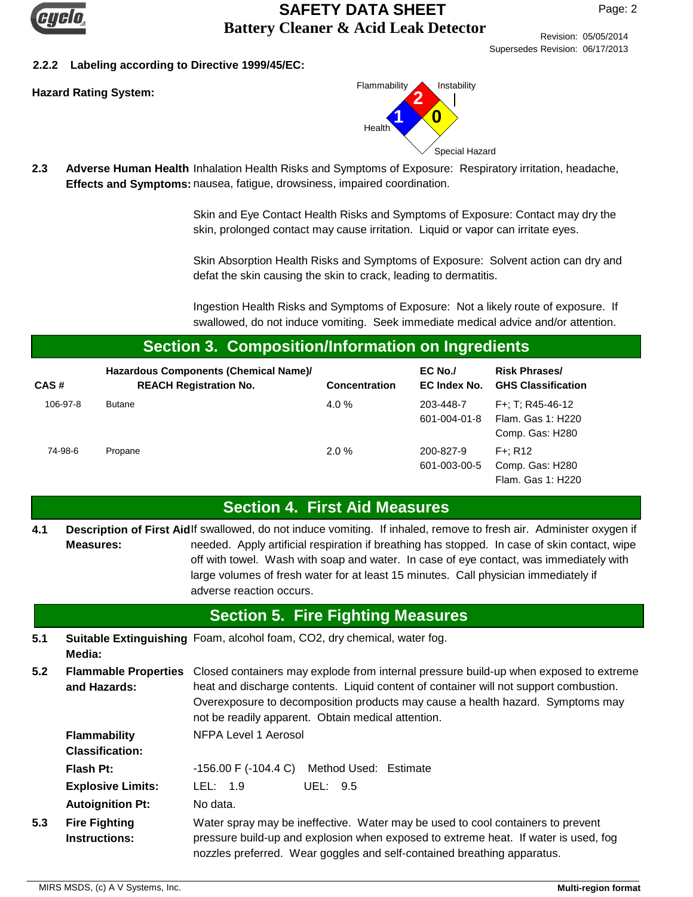

Revision: 05/05/2014

Supersedes Revision: 06/17/2013

### **2.2.2 Labeling according to Directive 1999/45/EC:**



2.3 Adverse Human Health Inhalation Health Risks and Symptoms of Exposure: Respiratory irritation, headache, Effects and Symptoms: nausea, fatigue, drowsiness, impaired coordination.

> Skin and Eye Contact Health Risks and Symptoms of Exposure: Contact may dry the skin, prolonged contact may cause irritation. Liquid or vapor can irritate eyes.

Skin Absorption Health Risks and Symptoms of Exposure: Solvent action can dry and defat the skin causing the skin to crack, leading to dermatitis.

Ingestion Health Risks and Symptoms of Exposure: Not a likely route of exposure. If swallowed, do not induce vomiting. Seek immediate medical advice and/or attention.

### **Section 3. Composition/Information on Ingredients**

| CAS#     | Hazardous Components (Chemical Name)/<br><b>REACH Registration No.</b> | <b>Concentration</b> | $EC$ No./<br>EC Index No. | <b>Risk Phrases/</b><br><b>GHS Classification</b>           |
|----------|------------------------------------------------------------------------|----------------------|---------------------------|-------------------------------------------------------------|
| 106-97-8 | <b>Butane</b>                                                          | 4.0 $%$              | 203-448-7<br>601-004-01-8 | $F+$ : T: R45-46-12<br>Flam. Gas 1: H220<br>Comp. Gas: H280 |
| 74-98-6  | Propane                                                                | 2.0%                 | 200-827-9<br>601-003-00-5 | $F +: R12$<br>Comp. Gas: H280<br>Flam. Gas 1: H220          |

### **Section 4. First Aid Measures**

Description of First Aidlf swallowed, do not induce vomiting. If inhaled, remove to fresh air. Administer oxygen if needed. Apply artificial respiration if breathing has stopped. In case of skin contact, wipe off with towel. Wash with soap and water. In case of eye contact, was immediately with large volumes of fresh water for at least 15 minutes. Call physician immediately if adverse reaction occurs. **Measures: 4.1**

## **Section 5. Fire Fighting Measures**

- **5.1 Suitable Extinguishing** Foam, alcohol foam, CO2, dry chemical, water fog. **Media:**
- **5.2** Flammable Properties Closed containers may explode from internal pressure build-up when exposed to extreme heat and discharge contents. Liquid content of container will not support combustion. Overexposure to decomposition products may cause a health hazard. Symptoms may not be readily apparent. Obtain medical attention. **and Hazards:**

| <b>Flammability</b><br><b>Classification:</b> | NFPA Level 1 Aerosol                                                                                                                                                                                                                              |  |
|-----------------------------------------------|---------------------------------------------------------------------------------------------------------------------------------------------------------------------------------------------------------------------------------------------------|--|
| Flash Pt:                                     | $-156.00$ F $(-104.4$ C) Method Used: Estimate                                                                                                                                                                                                    |  |
| <b>Explosive Limits:</b>                      | LEL: $1.9$<br>UEL: 9.5                                                                                                                                                                                                                            |  |
| <b>Autoignition Pt:</b>                       | No data.                                                                                                                                                                                                                                          |  |
| <b>Fire Fighting</b><br><b>Instructions:</b>  | Water spray may be ineffective. Water may be used to cool containers to prevent<br>pressure build-up and explosion when exposed to extreme heat. If water is used, fog<br>nozzles preferred. Wear goggles and self-contained breathing apparatus. |  |

**5.3**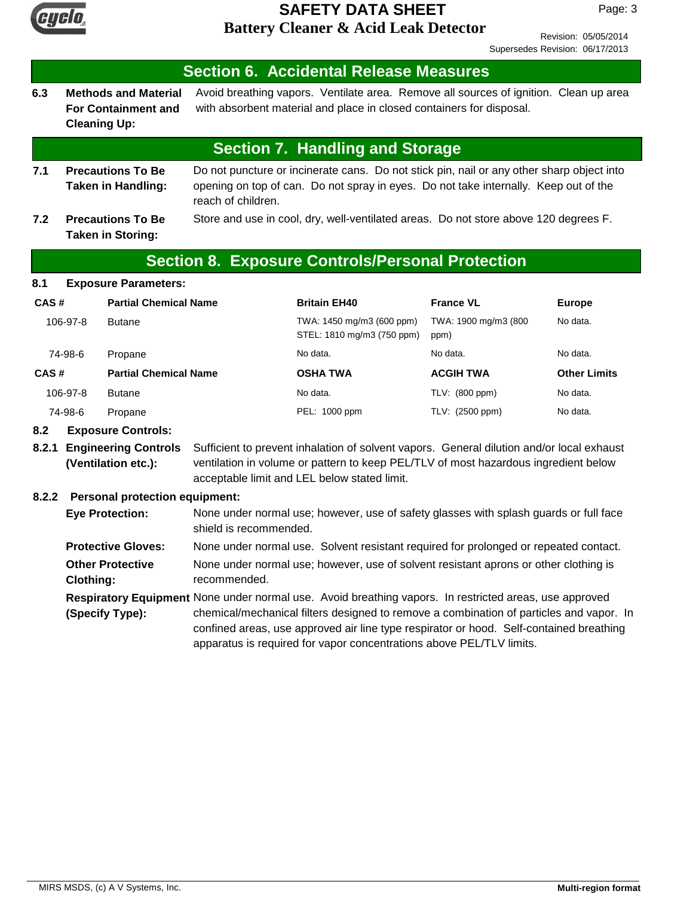

Revision: 05/05/2014 Supersedes Revision: 06/17/2013

#### **6.3 Section 6. Accidental Release Measures** Avoid breathing vapors. Ventilate area. Remove all sources of ignition. Clean up area with absorbent material and place in closed containers for disposal. **Methods and Material For Containment and Cleaning Up:**

## **Section 7. Handling and Storage**

- **7.1** Do not puncture or incinerate cans. Do not stick pin, nail or any other sharp object into opening on top of can. Do not spray in eyes. Do not take internally. Keep out of the reach of children. **Precautions To Be Taken in Handling:**
- **7.2 Precautions To Be** Store and use in cool, dry, well-ventilated areas. Do not store above 120 degrees F. **Taken in Storing:**

## **Section 8. Exposure Controls/Personal Protection**

### **8.1 Exposure Parameters:**

| CAS#    |          | <b>Partial Chemical Name</b> | <b>Britain EH40</b>                                     | <b>France VL</b>             | <b>Europe</b>       |
|---------|----------|------------------------------|---------------------------------------------------------|------------------------------|---------------------|
|         | 106-97-8 | <b>Butane</b>                | TWA: 1450 mg/m3 (600 ppm)<br>STEL: 1810 mg/m3 (750 ppm) | TWA: 1900 mg/m3 (800<br>ppm) | No data.            |
| 74-98-6 |          | Propane                      | No data.                                                | No data.                     | No data.            |
| CAS#    |          | <b>Partial Chemical Name</b> | <b>OSHA TWA</b>                                         | <b>ACGIH TWA</b>             | <b>Other Limits</b> |
|         | 106-97-8 | <b>Butane</b>                | No data.                                                | TLV: (800 ppm)               | No data.            |
| 74-98-6 |          | Propane                      | PEL: 1000 ppm                                           | TLV: (2500 ppm)              | No data.            |

### **8.2 Exposure Controls:**

**8.2.1 Engineering Controls** Sufficient to prevent inhalation of solvent vapors. General dilution and/or local exhaust ventilation in volume or pattern to keep PEL/TLV of most hazardous ingredient below acceptable limit and LEL below stated limit. **(Ventilation etc.):**

### **8.2.2 Personal protection equipment:**

| <b>Eye Protection:</b>                      | None under normal use; however, use of safety glasses with splash guards or full face<br>shield is recommended.                                                                                                                                                                                                                                                      |
|---------------------------------------------|----------------------------------------------------------------------------------------------------------------------------------------------------------------------------------------------------------------------------------------------------------------------------------------------------------------------------------------------------------------------|
| <b>Protective Gloves:</b>                   | None under normal use. Solvent resistant required for prolonged or repeated contact.                                                                                                                                                                                                                                                                                 |
| <b>Other Protective</b><br><b>Clothing:</b> | None under normal use; however, use of solvent resistant aprons or other clothing is<br>recommended.                                                                                                                                                                                                                                                                 |
| (Specify Type):                             | Respiratory Equipment None under normal use. Avoid breathing vapors. In restricted areas, use approved<br>chemical/mechanical filters designed to remove a combination of particles and vapor. In<br>confined areas, use approved air line type respirator or hood. Self-contained breathing<br>apparatus is required for vapor concentrations above PEL/TLV limits. |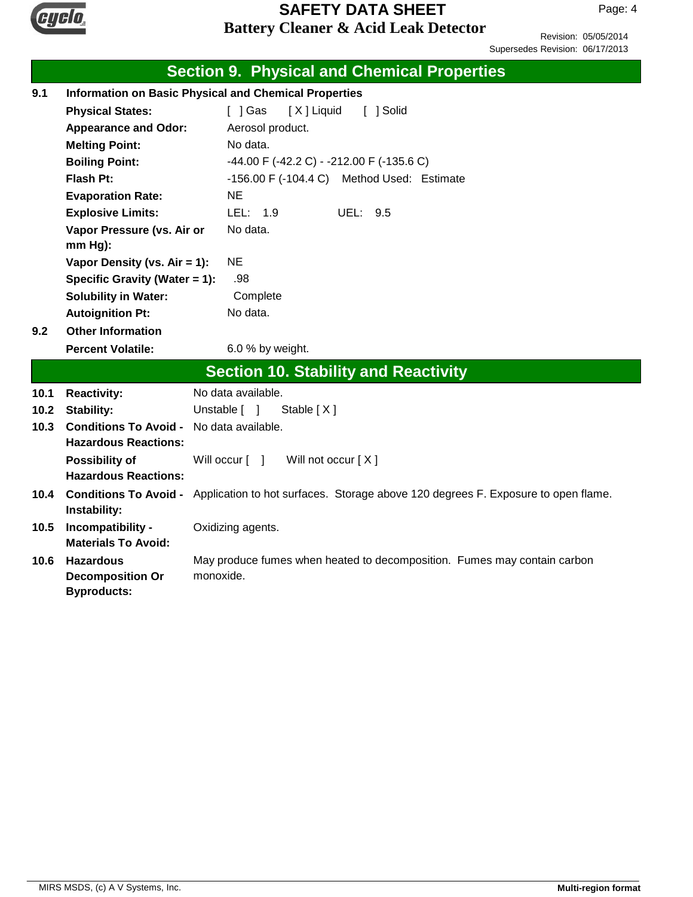

Revision: 05/05/2014 Supersedes Revision: 06/17/2013

|      | <b>Section 9. Physical and Chemical Properties</b>                                |                                                                                                         |  |
|------|-----------------------------------------------------------------------------------|---------------------------------------------------------------------------------------------------------|--|
| 9.1  | <b>Information on Basic Physical and Chemical Properties</b>                      |                                                                                                         |  |
|      | <b>Physical States:</b>                                                           | $\lceil$   Gas<br>[X] Liquid<br>[ ] Solid                                                               |  |
|      | <b>Appearance and Odor:</b>                                                       | Aerosol product.                                                                                        |  |
|      | <b>Melting Point:</b>                                                             | No data.                                                                                                |  |
|      | <b>Boiling Point:</b>                                                             | -44.00 F (-42.2 C) - -212.00 F (-135.6 C)                                                               |  |
|      | Flash Pt:                                                                         | -156.00 F (-104.4 C) Method Used: Estimate                                                              |  |
|      | <b>Evaporation Rate:</b>                                                          | <b>NE</b>                                                                                               |  |
|      | <b>Explosive Limits:</b>                                                          | LEL: 1.9<br>UEL:<br>9.5                                                                                 |  |
|      | Vapor Pressure (vs. Air or                                                        | No data.                                                                                                |  |
|      | mm Hg):                                                                           |                                                                                                         |  |
|      | Vapor Density (vs. $Air = 1$ ):                                                   | <b>NE</b>                                                                                               |  |
|      | Specific Gravity (Water = 1):                                                     | .98                                                                                                     |  |
|      | <b>Solubility in Water:</b>                                                       | Complete                                                                                                |  |
|      | <b>Autoignition Pt:</b>                                                           | No data.                                                                                                |  |
| 9.2  | <b>Other Information</b>                                                          |                                                                                                         |  |
|      | <b>Percent Volatile:</b>                                                          | 6.0 % by weight.                                                                                        |  |
|      |                                                                                   | <b>Section 10. Stability and Reactivity</b>                                                             |  |
| 10.1 | <b>Reactivity:</b>                                                                | No data available.                                                                                      |  |
| 10.2 | <b>Stability:</b><br>Unstable [ ]<br>Stable $[X]$                                 |                                                                                                         |  |
| 10.3 | <b>Conditions To Avoid -</b><br>No data available.<br><b>Hazardous Reactions:</b> |                                                                                                         |  |
|      | <b>Possibility of</b><br><b>Hazardous Reactions:</b>                              | Will not occur [X]<br>Will occur [ ]                                                                    |  |
| 10.4 | Instability:                                                                      | Conditions To Avoid - Application to hot surfaces. Storage above 120 degrees F. Exposure to open flame. |  |
| 10.5 | Incompatibility -<br><b>Materials To Avoid:</b>                                   | Oxidizing agents.                                                                                       |  |
| 10.6 | <b>Hazardous</b><br><b>Decomposition Or</b><br><b>Byproducts:</b>                 | May produce fumes when heated to decomposition. Fumes may contain carbon<br>monoxide.                   |  |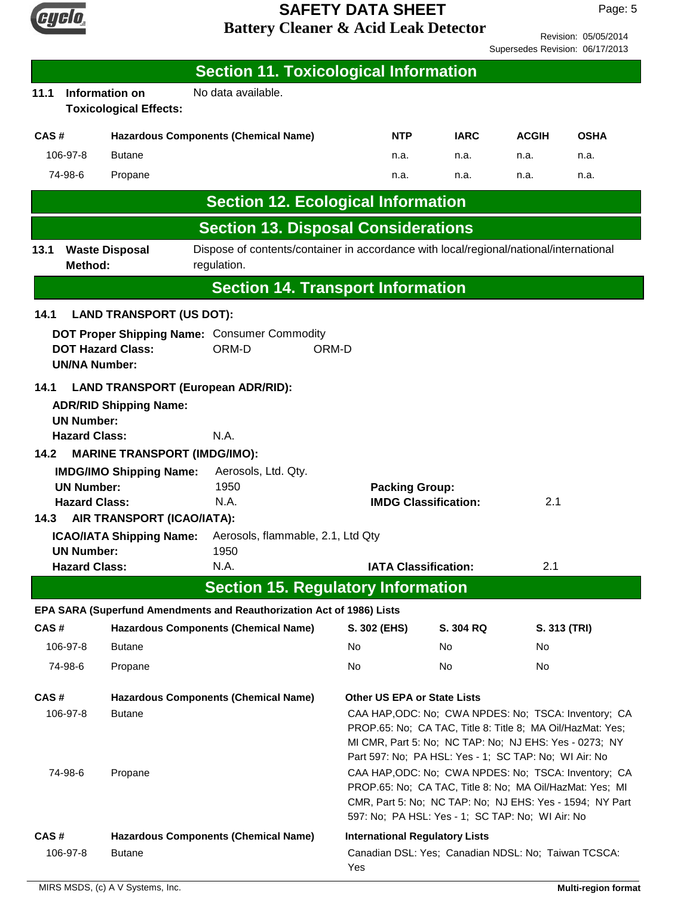

Revision: 05/05/2014 Supersedes Revision: 06/17/2013

|                           |                                                                                                                                                                        |                                                        | <b>Section 11. Toxicological Information</b>                                                          |                                       |                                                                                                                                                                                                                                       |              |              |
|---------------------------|------------------------------------------------------------------------------------------------------------------------------------------------------------------------|--------------------------------------------------------|-------------------------------------------------------------------------------------------------------|---------------------------------------|---------------------------------------------------------------------------------------------------------------------------------------------------------------------------------------------------------------------------------------|--------------|--------------|
| 11.1                      |                                                                                                                                                                        | <b>Information on</b><br><b>Toxicological Effects:</b> | No data available.                                                                                    |                                       |                                                                                                                                                                                                                                       |              |              |
| CAS#                      |                                                                                                                                                                        |                                                        | <b>Hazardous Components (Chemical Name)</b>                                                           | <b>NTP</b>                            | <b>IARC</b>                                                                                                                                                                                                                           | <b>ACGIH</b> | <b>OSHA</b>  |
|                           | 106-97-8                                                                                                                                                               | <b>Butane</b>                                          |                                                                                                       | n.a.                                  | n.a.                                                                                                                                                                                                                                  | n.a.         | n.a.         |
|                           | 74-98-6                                                                                                                                                                | Propane                                                |                                                                                                       | n.a.                                  | n.a.                                                                                                                                                                                                                                  | n.a.         | n.a.         |
|                           |                                                                                                                                                                        |                                                        | <b>Section 12. Ecological Information</b>                                                             |                                       |                                                                                                                                                                                                                                       |              |              |
|                           |                                                                                                                                                                        |                                                        | <b>Section 13. Disposal Considerations</b>                                                            |                                       |                                                                                                                                                                                                                                       |              |              |
| 13.1                      | Method:                                                                                                                                                                | <b>Waste Disposal</b>                                  | Dispose of contents/container in accordance with local/regional/national/international<br>regulation. |                                       |                                                                                                                                                                                                                                       |              |              |
|                           |                                                                                                                                                                        |                                                        | <b>Section 14. Transport Information</b>                                                              |                                       |                                                                                                                                                                                                                                       |              |              |
| 14.1                      |                                                                                                                                                                        | <b>LAND TRANSPORT (US DOT):</b>                        |                                                                                                       |                                       |                                                                                                                                                                                                                                       |              |              |
|                           | <b>UN/NA Number:</b>                                                                                                                                                   | <b>DOT Hazard Class:</b>                               | DOT Proper Shipping Name: Consumer Commodity<br>ORM-D                                                 | ORM-D                                 |                                                                                                                                                                                                                                       |              |              |
| 14.1<br>14.2              | <b>LAND TRANSPORT (European ADR/RID):</b><br><b>ADR/RID Shipping Name:</b><br><b>UN Number:</b><br>N.A.<br><b>Hazard Class:</b><br><b>MARINE TRANSPORT (IMDG/IMO):</b> |                                                        |                                                                                                       |                                       |                                                                                                                                                                                                                                       |              |              |
|                           |                                                                                                                                                                        | <b>IMDG/IMO Shipping Name:</b>                         | Aerosols, Ltd. Qty.                                                                                   |                                       |                                                                                                                                                                                                                                       |              |              |
| 1950<br><b>UN Number:</b> |                                                                                                                                                                        |                                                        | <b>Packing Group:</b>                                                                                 |                                       |                                                                                                                                                                                                                                       |              |              |
| 14.3                      | <b>Hazard Class:</b>                                                                                                                                                   | AIR TRANSPORT (ICAO/IATA):                             | N.A.                                                                                                  |                                       | <b>IMDG Classification:</b>                                                                                                                                                                                                           | 2.1          |              |
|                           |                                                                                                                                                                        | <b>ICAO/IATA Shipping Name:</b>                        | Aerosols, flammable, 2.1, Ltd Qty                                                                     |                                       |                                                                                                                                                                                                                                       |              |              |
|                           | <b>UN Number:</b><br><b>Hazard Class:</b>                                                                                                                              |                                                        | 1950<br>N.A.                                                                                          |                                       | <b>IATA Classification:</b>                                                                                                                                                                                                           | 2.1          |              |
|                           |                                                                                                                                                                        |                                                        | <b>Section 15. Regulatory Information</b>                                                             |                                       |                                                                                                                                                                                                                                       |              |              |
|                           |                                                                                                                                                                        |                                                        | EPA SARA (Superfund Amendments and Reauthorization Act of 1986) Lists                                 |                                       |                                                                                                                                                                                                                                       |              |              |
| CAS#                      |                                                                                                                                                                        |                                                        | <b>Hazardous Components (Chemical Name)</b>                                                           | S. 302 (EHS)                          | <b>S. 304 RQ</b>                                                                                                                                                                                                                      |              | S. 313 (TRI) |
|                           | 106-97-8                                                                                                                                                               | <b>Butane</b>                                          |                                                                                                       | No                                    | No.                                                                                                                                                                                                                                   | No.          |              |
|                           | 74-98-6                                                                                                                                                                | Propane                                                |                                                                                                       | No.                                   | No                                                                                                                                                                                                                                    | No           |              |
| CAS#                      |                                                                                                                                                                        |                                                        | <b>Hazardous Components (Chemical Name)</b>                                                           | <b>Other US EPA or State Lists</b>    |                                                                                                                                                                                                                                       |              |              |
|                           | 106-97-8                                                                                                                                                               | <b>Butane</b>                                          |                                                                                                       |                                       | CAA HAP, ODC: No; CWA NPDES: No; TSCA: Inventory; CA<br>PROP.65: No; CA TAC, Title 8: Title 8; MA Oil/HazMat: Yes;<br>MI CMR, Part 5: No; NC TAP: No; NJ EHS: Yes - 0273; NY<br>Part 597: No; PA HSL: Yes - 1; SC TAP: No; WI Air: No |              |              |
|                           | 74-98-6                                                                                                                                                                | Propane                                                |                                                                                                       |                                       | CAA HAP, ODC: No; CWA NPDES: No; TSCA: Inventory; CA<br>PROP.65: No; CA TAC, Title 8: No; MA Oil/HazMat: Yes; MI<br>CMR, Part 5: No; NC TAP: No; NJ EHS: Yes - 1594; NY Part<br>597: No; PA HSL: Yes - 1; SC TAP: No; WI Air: No      |              |              |
| CAS#                      |                                                                                                                                                                        |                                                        | <b>Hazardous Components (Chemical Name)</b>                                                           | <b>International Regulatory Lists</b> |                                                                                                                                                                                                                                       |              |              |
|                           | 106-97-8                                                                                                                                                               | <b>Butane</b>                                          |                                                                                                       | Yes                                   | Canadian DSL: Yes; Canadian NDSL: No; Taiwan TCSCA:                                                                                                                                                                                   |              |              |